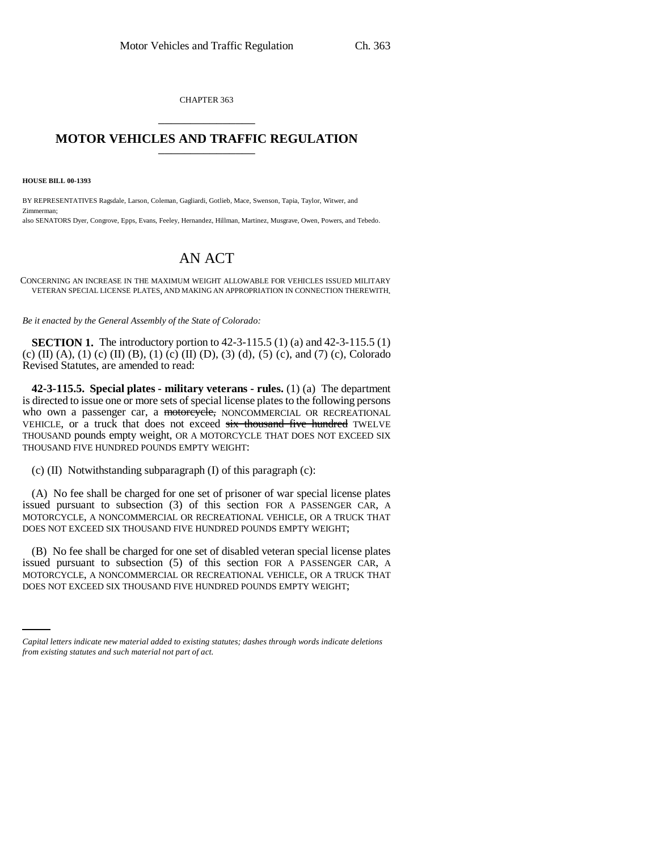CHAPTER 363 \_\_\_\_\_\_\_\_\_\_\_\_\_\_\_

## **MOTOR VEHICLES AND TRAFFIC REGULATION** \_\_\_\_\_\_\_\_\_\_\_\_\_\_\_

**HOUSE BILL 00-1393** 

BY REPRESENTATIVES Ragsdale, Larson, Coleman, Gagliardi, Gotlieb, Mace, Swenson, Tapia, Taylor, Witwer, and Zimmerman; also SENATORS Dyer, Congrove, Epps, Evans, Feeley, Hernandez, Hillman, Martinez, Musgrave, Owen, Powers, and Tebedo.

## AN ACT

CONCERNING AN INCREASE IN THE MAXIMUM WEIGHT ALLOWABLE FOR VEHICLES ISSUED MILITARY VETERAN SPECIAL LICENSE PLATES, AND MAKING AN APPROPRIATION IN CONNECTION THEREWITH.

*Be it enacted by the General Assembly of the State of Colorado:*

**SECTION 1.** The introductory portion to 42-3-115.5 (1) (a) and 42-3-115.5 (1) (c) (II) (A), (1) (c) (II) (B), (1) (c) (II) (D), (3) (d), (5) (c), and (7) (c), Colorado Revised Statutes, are amended to read:

**42-3-115.5. Special plates - military veterans - rules.** (1) (a) The department is directed to issue one or more sets of special license plates to the following persons who own a passenger car, a motorcycle, NONCOMMERCIAL OR RECREATIONAL VEHICLE, or a truck that does not exceed six thousand five hundred TWELVE THOUSAND pounds empty weight, OR A MOTORCYCLE THAT DOES NOT EXCEED SIX THOUSAND FIVE HUNDRED POUNDS EMPTY WEIGHT:

(c) (II) Notwithstanding subparagraph (I) of this paragraph (c):

(A) No fee shall be charged for one set of prisoner of war special license plates issued pursuant to subsection (3) of this section FOR A PASSENGER CAR, A MOTORCYCLE, A NONCOMMERCIAL OR RECREATIONAL VEHICLE, OR A TRUCK THAT DOES NOT EXCEED SIX THOUSAND FIVE HUNDRED POUNDS EMPTY WEIGHT;

MOTORCYCLE, A NONCOMMERCIAL OR RECREATIONAL VEHICLE, OR A TRUCK THAT (B) No fee shall be charged for one set of disabled veteran special license plates issued pursuant to subsection (5) of this section FOR A PASSENGER CAR, A DOES NOT EXCEED SIX THOUSAND FIVE HUNDRED POUNDS EMPTY WEIGHT;

*Capital letters indicate new material added to existing statutes; dashes through words indicate deletions from existing statutes and such material not part of act.*